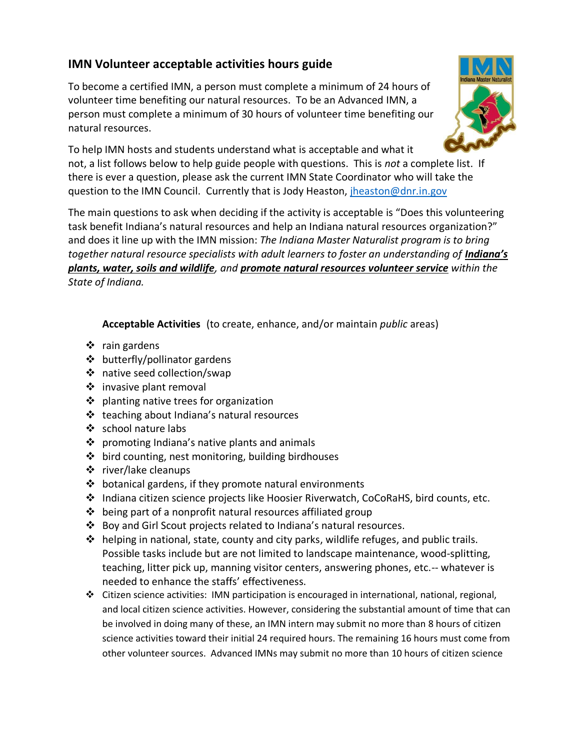## **IMN Volunteer acceptable activities hours guide**

To become a certified IMN, a person must complete a minimum of 24 hours of volunteer time benefiting our natural resources. To be an Advanced IMN, a person must complete a minimum of 30 hours of volunteer time benefiting our natural resources.



To help IMN hosts and students understand what is acceptable and what it not, a list follows below to help guide people with questions. This is *not* a complete list. If there is ever a question, please ask the current IMN State Coordinator who will take the question to the IMN Council. Currently that is Jody Heaston, [jheaston@dnr.in.gov](mailto:jheaston@dnr.in.gov)

The main questions to ask when deciding if the activity is acceptable is "Does this volunteering task benefit Indiana's natural resources and help an Indiana natural resources organization?" and does it line up with the IMN mission: *The Indiana Master Naturalist program is to bring together natural resource specialists with adult learners to foster an understanding of Indiana's plants, water, soils and wildlife, and promote natural resources volunteer service within the State of Indiana.*

**Acceptable Activities** (to create, enhance, and/or maintain *public* areas)

- ❖ rain gardens
- ❖ butterfly/pollinator gardens
- ❖ native seed collection/swap
- ❖ invasive plant removal
- ❖ planting native trees for organization
- ❖ teaching about Indiana's natural resources
- ❖ school nature labs
- ❖ promoting Indiana's native plants and animals
- ❖ bird counting, nest monitoring, building birdhouses
- ❖ river/lake cleanups
- ❖ botanical gardens, if they promote natural environments
- ❖ Indiana citizen science projects like Hoosier Riverwatch, CoCoRaHS, bird counts, etc.
- $\triangle$  being part of a nonprofit natural resources affiliated group
- ❖ Boy and Girl Scout projects related to Indiana's natural resources.
- $\clubsuit$  helping in national, state, county and city parks, wildlife refuges, and public trails. Possible tasks include but are not limited to landscape maintenance, wood-splitting, teaching, litter pick up, manning visitor centers, answering phones, etc.-- whatever is needed to enhance the staffs' effectiveness.
- ❖ Citizen science activities: IMN participation is encouraged in international, national, regional, and local citizen science activities. However, considering the substantial amount of time that can be involved in doing many of these, an IMN intern may submit no more than 8 hours of citizen science activities toward their initial 24 required hours. The remaining 16 hours must come from other volunteer sources. Advanced IMNs may submit no more than 10 hours of citizen science